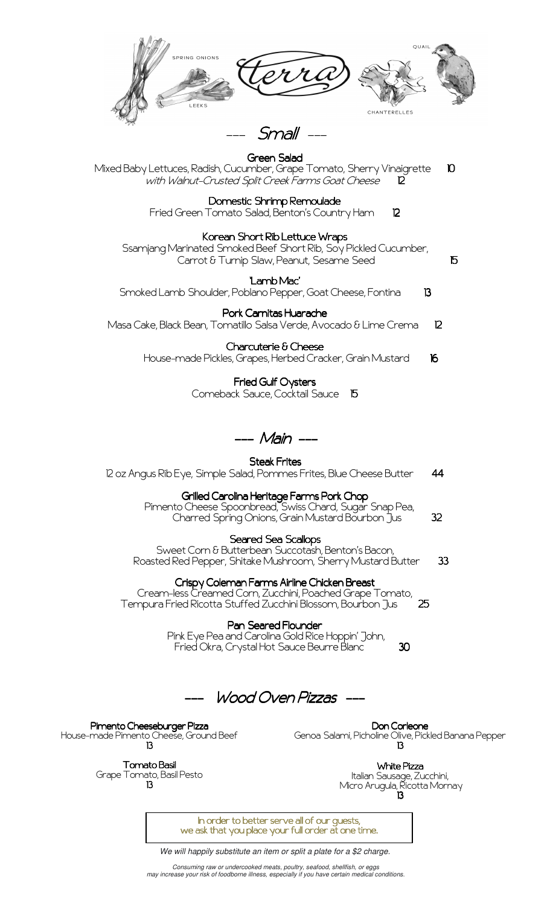

Green Salad Mixed Baby Lettuces, Radish, Cucumber, Grape Tomato, Sherry Vinaigrette 10 with Walnut-Crusted Split Creek Farms Goat Cheese 12

> Domestic Shrimp Remoulade Fried Green Tomato Salad, Benton's Country Ham 2

Korean Short Rib Lettuce Wraps

Ssamjang Marinated Smoked Beef Short Rib, Soy Pickled Cucumber, Carrot & Turnip Slaw, Peanut, Sesame Seed 15

'Lamb Mac' Smoked Lamb Shoulder, Poblano Pepper, Goat Cheese, Fontina 13

Pork Carnitas Huarache Masa Cake, Black Bean, Tomatillo Salsa Verde, Avocado & Lime Crema **12** 

> Charcuterie & Cheese House-made Pickles, Grapes, Herbed Cracker, Grain Mustard 16

> > Fried Gulf Oysters Comeback Sauce, Cocktail Sauce 15

--- Main ---

Steak Frites 12 oz Angus Rib Eye, Simple Salad, Pommes Frites, Blue Cheese Butter 44 Grilled Carolina Heritage Farms Pork Chop Pimento Cheese Spoonbread, Swiss Chard, Sugar Snap Pea, Charred Spring Onions, Grain Mustard Bourbon Jus 32 Seared Sea Scallops Sweet Corn & Butterbean Succotash, Benton's Bacon, Roasted Red Pepper, Shitake Mushroom, Sherry Mustard Butter 33 Crispy Coleman Farms Airline Chicken Breast

Cream-less Creamed Corn, Zucchini, Poached Grape Tomato, Tempura Fried Ricotta Stuffed Zucchini Blossom, Bourbon Jus 25

Pan Seared Flounder

Pink Eye Pea and Carolina Gold Rice Hoppin' John, Fried Okra, Crystal Hot Sauce Beurre Blanc 30

# -- Wood Oven Pizzas -

Pimento Cheeseburger Pizza House-made Pimento Cheese, Ground Beef 13

> Tomato Basil Grape Tomato, Basil Pesto 13

Don Corleone Genoa Salami, Picholine Olive, Pickled Banana Pepper 13

> White Pizza Italian Sausage, Zucchini, Micro Arugula, Ricotta Mornay 13

we ask that you place your full order at one time.<br> In order to better serve all of our guests,

We will happily substitute an item or split a plate for a \$2 charge.

 Consuming raw or undercooked meats, poultry, seafood, shellfish, or eggs may increase your risk of foodborne illness, especially if you have certain medical conditions.